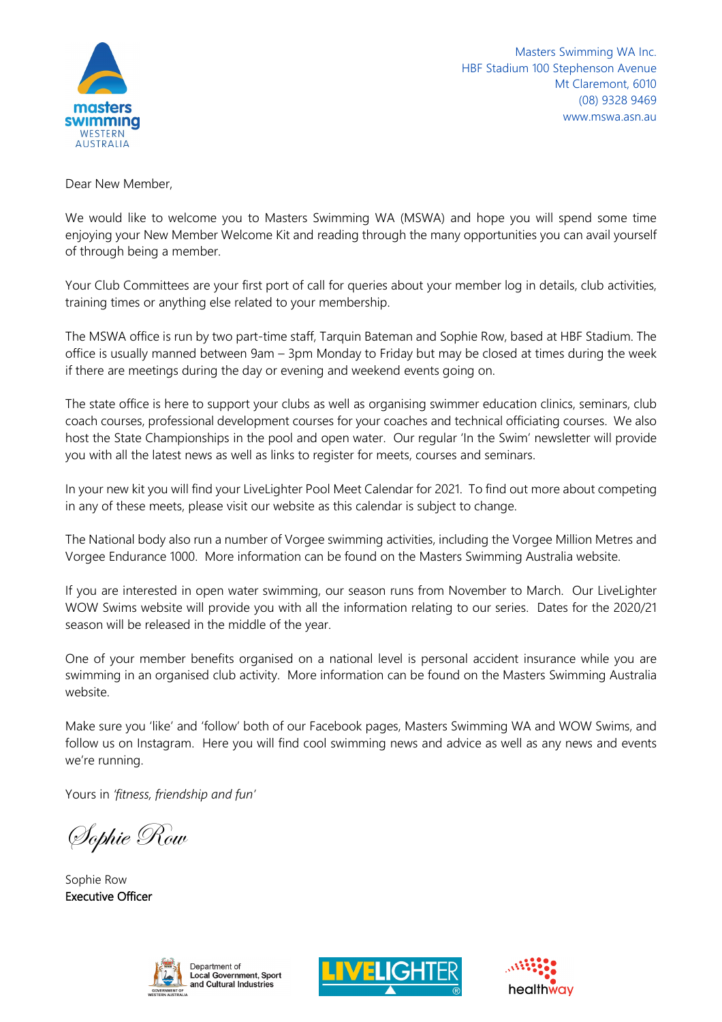

Masters Swimming WA Inc. HBF Stadium 100 Stephenson Avenue Mt Claremont, 6010 (08) 9328 9469 www.mswa.asn.au

Dear New Member,

We would like to welcome you to Masters Swimming WA (MSWA) and hope you will spend some time enjoying your New Member Welcome Kit and reading through the many opportunities you can avail yourself of through being a member.

Your Club Committees are your first port of call for queries about your member log in details, club activities, training times or anything else related to your membership.

The MSWA office is run by two part-time staff, Tarquin Bateman and Sophie Row, based at HBF Stadium. The office is usually manned between 9am – 3pm Monday to Friday but may be closed at times during the week if there are meetings during the day or evening and weekend events going on.

The state office is here to support your clubs as well as organising swimmer education clinics, seminars, club coach courses, professional development courses for your coaches and technical officiating courses. We also host the State Championships in the pool and open water. Our regular 'In the Swim' newsletter will provide you with all the latest news as well as links to register for meets, courses and seminars.

In your new kit you will find your LiveLighter Pool Meet Calendar for 2021. To find out more about competing in any of these meets, please visit our website as this calendar is subject to change.

The National body also run a number of Vorgee swimming activities, including the Vorgee Million Metres and Vorgee Endurance 1000. More information can be found on the Masters Swimming Australia website.

If you are interested in open water swimming, our season runs from November to March. Our LiveLighter WOW Swims website will provide you with all the information relating to our series. Dates for the 2020/21 season will be released in the middle of the year.

One of your member benefits organised on a national level is personal accident insurance while you are swimming in an organised club activity. More information can be found on the Masters Swimming Australia website.

Make sure you 'like' and 'follow' both of our Facebook pages, Masters Swimming WA and WOW Swims, and follow us on Instagram. Here you will find cool swimming news and advice as well as any news and events we're running.

Yours in *'fitness, friendship and fun'*

Sophie Row

Sophie Row Executive Officer